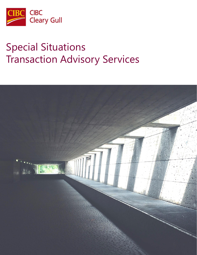

# Special Situations Transaction Advisory Services

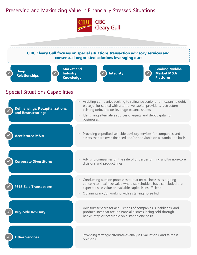## Preserving and Maximizing Value in Financially Stressed Situations



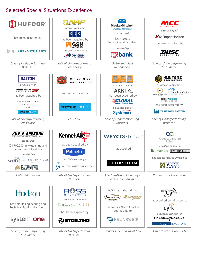## Selected Special Situations Experience

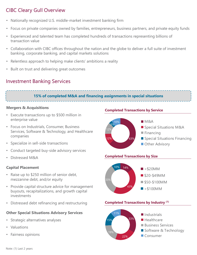# CIBC Cleary Gull Overview

- Nationally recognized U.S. middle-market investment banking firm
- Focus on private companies owned by families, entrepreneurs, business partners, and private equity funds
- Experienced and talented team has completed hundreds of transactions representing billions of transaction value
- Collaboration with CIBC offices throughout the nation and the globe to deliver a full suite of investment banking, corporate banking, and capital markets solutions
- Relentless approach to helping make clients' ambitions a reality
- Built on trust and delivering great outcomes

### Investment Banking Services

#### **15% of completed M&A and financing assignments in special situations**

#### **Mergers & Acquisitions**

- Execute transactions up to \$500 million in enterprise value
- Focus on Industrials, Consumer, Business Services, Software & Technology, and Healthcare companies
- Specialize in sell-side transactions
- Conduct targeted buy-side advisory services
- Distressed M&A

#### **Capital Placement**

- Raise up to \$250 million of senior debt, mezzanine debt, and/or equity
- Provide capital structure advice for management buyouts, recapitalizations, and growth capital investments
- Distressed debt refinancing and restructuring

#### **Other Special Situations Advisory Services**

- Strategic alternatives analyses
- Valuations
- Fairness opinions

**Completed Transactions by Service**



#### **Completed Transactions by Size**



#### **Completed Transactions by Industry (1)**